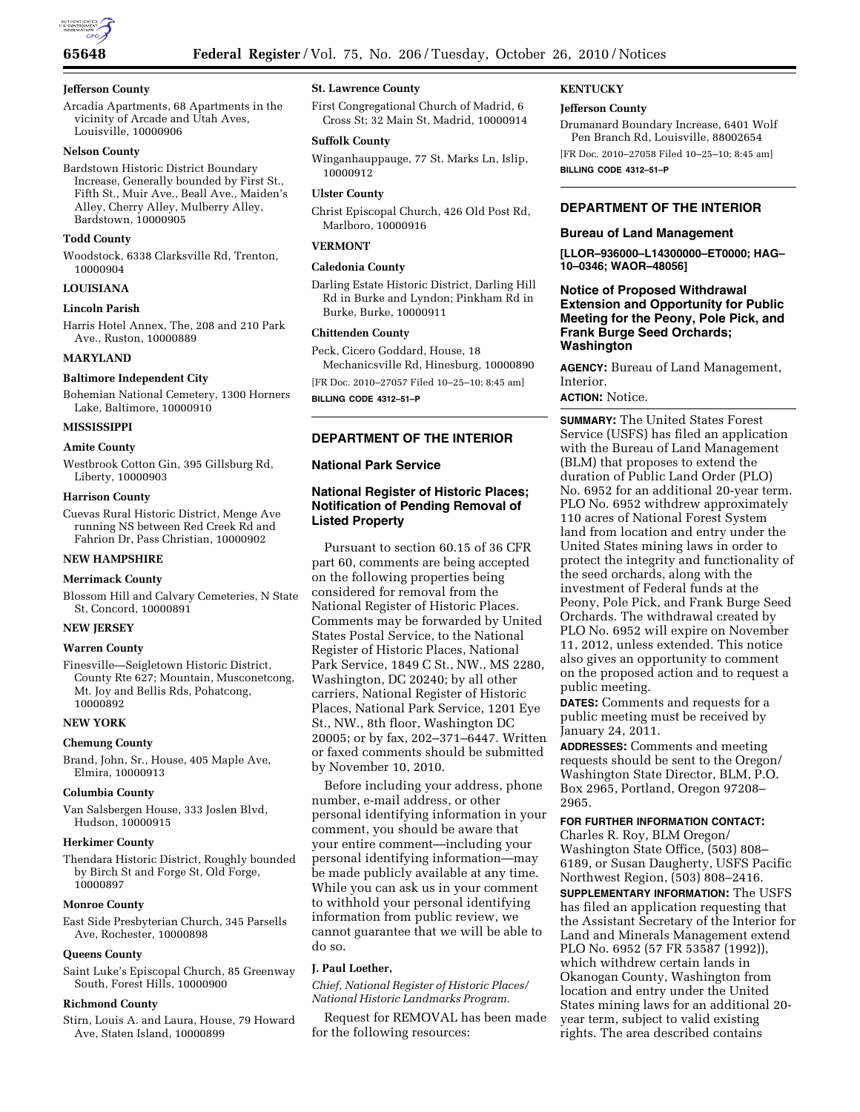

### **Jefferson County**

Arcadia Apartments, 68 Apartments in the vicinity of Arcade and Utah Aves, Louisville, 10000906

### **Nelson County**

Bardstown Historic District Boundary Increase, Generally bounded by First St., Fifth St., Muir Ave., Beall Ave., Maiden's Alley, Cherry Alley, Mulberry Alley, Bardstown, 10000905

### **Todd County**

Woodstock, 6338 Clarksville Rd, Trenton, 10000904

### **LOUISIANA**

### **Lincoln Parish**

Harris Hotel Annex, The, 208 and 210 Park Ave., Ruston, 10000889

#### **MARYLAND**

### **Baltimore Independent City**

Bohemian National Cemetery, 1300 Horners Lake, Baltimore, 10000910

### **MISSISSIPPI**

#### **Amite County**

Westbrook Cotton Gin, 395 Gillsburg Rd, Liberty, 10000903

#### **Harrison County**

Cuevas Rural Historic District, Menge Ave running NS between Red Creek Rd and Fahrion Dr, Pass Christian, 10000902

# **NEW HAMPSHIRE**

# **Merrimack County**

Blossom Hill and Calvary Cemeteries, N State St, Concord, 10000891

#### **NEW JERSEY**

### **Warren County**

Finesville—Seigletown Historic District, County Rte 627; Mountain, Musconetcong, Mt. Joy and Bellis Rds, Pohatcong, 10000892

#### **NEW YORK**

### **Chemung County**

Brand, John, Sr., House, 405 Maple Ave, Elmira, 10000913

#### **Columbia County**

Van Salsbergen House, 333 Joslen Blvd, Hudson, 10000915

#### **Herkimer County**

Thendara Historic District, Roughly bounded by Birch St and Forge St, Old Forge, 10000897

#### **Monroe County**

East Side Presbyterian Church, 345 Parsells Ave, Rochester, 10000898

### **Queens County**

Saint Luke's Episcopal Church, 85 Greenway South, Forest Hills, 10000900

#### **Richmond County**

Stirn, Louis A. and Laura, House, 79 Howard Ave, Staten Island, 10000899

### **St. Lawrence County**

First Congregational Church of Madrid, 6 Cross St; 32 Main St, Madrid, 10000914

#### **Suffolk County**

Winganhauppauge, 77 St. Marks Ln, Islip, 10000912

### **Ulster County**

Christ Episcopal Church, 426 Old Post Rd, Marlboro, 10000916

### **VERMONT**

### **Caledonia County**

Darling Estate Historic District, Darling Hill Rd in Burke and Lyndon; Pinkham Rd in Burke, Burke, 10000911

### **Chittenden County**

Peck, Cicero Goddard, House, 18 Mechanicsville Rd, Hinesburg, 10000890 [FR Doc. 2010–27057 Filed 10–25–10; 8:45 am]

**BILLING CODE 4312–51–P** 

# **DEPARTMENT OF THE INTERIOR**

### **National Park Service**

# **National Register of Historic Places; Notification of Pending Removal of Listed Property**

Pursuant to section 60.15 of 36 CFR part 60, comments are being accepted on the following properties being considered for removal from the National Register of Historic Places. Comments may be forwarded by United States Postal Service, to the National Register of Historic Places, National Park Service, 1849 C St., NW., MS 2280, Washington, DC 20240; by all other carriers, National Register of Historic Places, National Park Service, 1201 Eye St., NW., 8th floor, Washington DC 20005; or by fax, 202–371–6447. Written or faxed comments should be submitted by November 10, 2010.

Before including your address, phone number, e-mail address, or other personal identifying information in your comment, you should be aware that your entire comment—including your personal identifying information—may be made publicly available at any time. While you can ask us in your comment to withhold your personal identifying information from public review, we cannot guarantee that we will be able to do so.

### **J. Paul Loether,**

*Chief, National Register of Historic Places/ National Historic Landmarks Program.* 

Request for REMOVAL has been made for the following resources:

#### **KENTUCKY**

### **Jefferson County**

Drumanard Boundary Increase, 6401 Wolf Pen Branch Rd, Louisville, 88002654

[FR Doc. 2010–27058 Filed 10–25–10; 8:45 am] **BILLING CODE 4312–51–P** 

### **DEPARTMENT OF THE INTERIOR**

### **Bureau of Land Management**

**[LLOR–936000–L14300000–ET0000; HAG– 10–0346; WAOR–48056]** 

# **Notice of Proposed Withdrawal Extension and Opportunity for Public Meeting for the Peony, Pole Pick, and Frank Burge Seed Orchards; Washington**

**AGENCY:** Bureau of Land Management, Interior.

### **ACTION:** Notice.

**SUMMARY:** The United States Forest Service (USFS) has filed an application with the Bureau of Land Management (BLM) that proposes to extend the duration of Public Land Order (PLO) No. 6952 for an additional 20-year term. PLO No. 6952 withdrew approximately 110 acres of National Forest System land from location and entry under the United States mining laws in order to protect the integrity and functionality of the seed orchards, along with the investment of Federal funds at the Peony, Pole Pick, and Frank Burge Seed Orchards. The withdrawal created by PLO No. 6952 will expire on November 11, 2012, unless extended. This notice also gives an opportunity to comment on the proposed action and to request a public meeting.

**DATES:** Comments and requests for a public meeting must be received by January 24, 2011.

**ADDRESSES:** Comments and meeting requests should be sent to the Oregon/ Washington State Director, BLM, P.O. Box 2965, Portland, Oregon 97208– 2965.

#### **FOR FURTHER INFORMATION CONTACT:**

Charles R. Roy, BLM Oregon/ Washington State Office, (503) 808– 6189, or Susan Daugherty, USFS Pacific Northwest Region, (503) 808–2416. **SUPPLEMENTARY INFORMATION:** The USFS has filed an application requesting that the Assistant Secretary of the Interior for Land and Minerals Management extend PLO No. 6952 (57 FR 53587 (1992)), which withdrew certain lands in Okanogan County, Washington from location and entry under the United States mining laws for an additional 20 year term, subject to valid existing rights. The area described contains